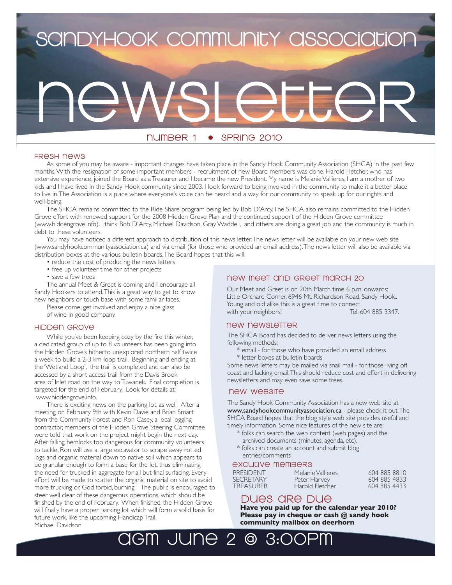# **SandyHook community association**

# newsletter

# number 1 • spring 2010

# fresh news

As some of you may be aware - important changes have taken place in the Sandy Hook Community Association (SHCA) in the past few months. With the resignation of some important members - recruitment of new Board members was done. Harold Fletcher, who has extensive experience, joined the Board as a Treasurer and I became the new President. My name is Melanie Vallieres, I am a mother of two kids and I have lived in the Sandy Hook community since 2003. I look forward to being involved in the community to make it a better place to live in. The Association is a place where everyone's voice can be heard and a way for our community to speak up for our rights and well-being.

The SHCA remains committed to the Ride Share program being led by Bob D'Arcy. The SHCA also remains committed to the Hidden Grove effort with renewed support for the 2008 Hidden Grove Plan and the continued support of the Hidden Grove committee (www.hiddengrove.info). I think Bob D'Arcy, Michael Davidson, Gray Waddell, and others are doing a great job and the community is much in debt to these volunteers.

You may have noticed a different approach to distribution of this news letter. The news letter will be available on your new web site (www.sandyhookcommunityassociation.ca) and via email (for those who provided an email address). The news letter will also be available via distribution boxes at the various bulletin boards. The Board hopes that this will;

- reduce the cost of producing the news letters
- free up volunteer time for other projects
- save a few trees

The annual Meet & Greet is coming and I encourage all Sandy Hookers to attend. This is a great way to get to know new neighbors or touch base with some familiar faces.

Please come, get involved and enjoy a nice glass of wine in good company.

#### hidden grove

 While you've been keeping cozy by the fire this winter, a dedicated group of up to 8 volunteers has been going into the Hidden Grove's hitherto unexplored northern half twice a week to build a 2-3 km loop trail. Beginning and ending at the 'Wetland Loop', the trail is completed and can also be accessed by a short access trail from the Davis Brook area of Inlet road on the way to Tuwanek. Final completion is targeted for the end of February. Look for details at: www.hiddengrove.info.

 There is exciting news on the parking lot, as well. After a meeting on February 9th with Kevin Davie and Brian Smart from the Community Forest and Ron Casey, a local logging contractor, members of the Hidden Grove Steering Committee were told that work on the project might begin the next day. After falling hemlocks too dangerous for community volunteers to tackle, Ron will use a large excavator to scrape away rotted logs and organic material down to native soil which appears to be granular enough to form a base for the lot, thus eliminating the need for trucked in aggregate for all but final surfacing. Every effort will be made to scatter the organic material on site to avoid more trucking or, God forbid, burning! The public is encouraged to steer well clear of these dangerous operations, which should be finished by the end of February. When finished, the Hidden Grove will finally have a proper parking lot which will form a solid basis for future work, like the upcoming Handicap Trail. Michael Davidson

# new meet and greet march 20

Our Meet and Greet is on 20th March time 6 p.m. onwards: Little Orchard Corner, 6946 Mt. Richardson Road, Sandy Hook.. Young and old alike this is a great time to connect with your neighbors!

# new newsletter

The SHCA Board has decided to deliver news letters using the following methods;

- \* email for those who have provided an email address
- \* letter boxes at bulletin boards

Some news letters may be mailed via snail mail - for those living off coast and lacking email. This should reduce cost and effort in delivering newsletters and may even save some trees.

# new website

The Sandy Hook Community Association has a new web site at www.sandyhookcommunityassociation.ca - please check it out. The SHCA Board hopes that the blog style web site provides useful and timely information. Some nice features of the new site are:

- \* folks can search the web content (web pages) and the archived documents (minutes, agenda, etc).
- \* folks can create an account and submit blog entries/comments

# excutive members

PRESIDENT Melanie Vallieres 604 885 8810<br>SECRETARY Peter Harvey 604 885 4833 SECRETARY Peter Harvey 604 885 4833<br>TREASURER Harold Fletcher 604 885 4433

# DUES ARE DUE

**Have you paid up for the calendar year 2010? Please pay in cheque or cash @ sandy hook community mailbox on deerhorn**

Harold Fletcher

AGM JUNE 2 @ 3:00pm